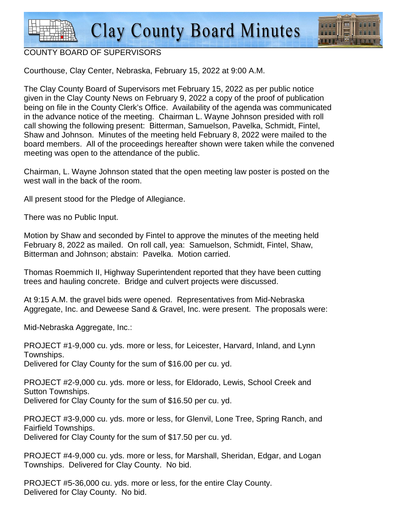**Clay County Board Minutes** 



## COUNTY BOARD OF SUPERVISORS

Courthouse, Clay Center, Nebraska, February 15, 2022 at 9:00 A.M.

The Clay County Board of Supervisors met February 15, 2022 as per public notice given in the Clay County News on February 9, 2022 a copy of the proof of publication being on file in the County Clerk's Office. Availability of the agenda was communicated in the advance notice of the meeting. Chairman L. Wayne Johnson presided with roll call showing the following present: Bitterman, Samuelson, Pavelka, Schmidt, Fintel, Shaw and Johnson. Minutes of the meeting held February 8, 2022 were mailed to the board members. All of the proceedings hereafter shown were taken while the convened meeting was open to the attendance of the public.

Chairman, L. Wayne Johnson stated that the open meeting law poster is posted on the west wall in the back of the room.

All present stood for the Pledge of Allegiance.

There was no Public Input.

Motion by Shaw and seconded by Fintel to approve the minutes of the meeting held February 8, 2022 as mailed. On roll call, yea: Samuelson, Schmidt, Fintel, Shaw, Bitterman and Johnson; abstain: Pavelka. Motion carried.

Thomas Roemmich II, Highway Superintendent reported that they have been cutting trees and hauling concrete. Bridge and culvert projects were discussed.

At 9:15 A.M. the gravel bids were opened. Representatives from Mid-Nebraska Aggregate, Inc. and Deweese Sand & Gravel, Inc. were present. The proposals were:

Mid-Nebraska Aggregate, Inc.:

PROJECT #1-9,000 cu. yds. more or less, for Leicester, Harvard, Inland, and Lynn Townships. Delivered for Clay County for the sum of \$16.00 per cu. yd.

PROJECT #2-9,000 cu. yds. more or less, for Eldorado, Lewis, School Creek and Sutton Townships. Delivered for Clay County for the sum of \$16.50 per cu. yd.

PROJECT #3-9,000 cu. yds. more or less, for Glenvil, Lone Tree, Spring Ranch, and Fairfield Townships. Delivered for Clay County for the sum of \$17.50 per cu. yd.

PROJECT #4-9,000 cu. yds. more or less, for Marshall, Sheridan, Edgar, and Logan Townships. Delivered for Clay County. No bid.

PROJECT #5-36,000 cu. yds. more or less, for the entire Clay County. Delivered for Clay County. No bid.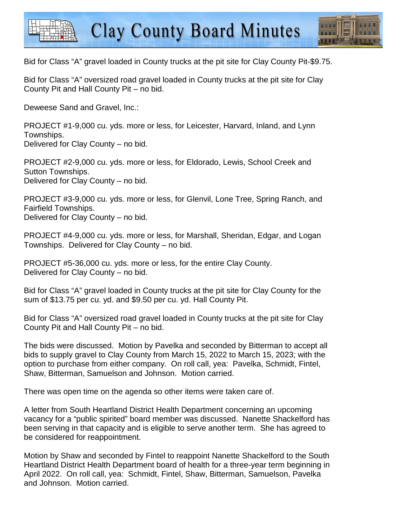



Bid for Class "A" gravel loaded in County trucks at the pit site for Clay County Pit-\$9.75.

Bid for Class "A" oversized road gravel loaded in County trucks at the pit site for Clay County Pit and Hall County Pit – no bid.

Deweese Sand and Gravel, Inc.:

PROJECT #1-9,000 cu. yds. more or less, for Leicester, Harvard, Inland, and Lynn Townships. Delivered for Clay County – no bid.

PROJECT #2-9,000 cu. yds. more or less, for Eldorado, Lewis, School Creek and Sutton Townships. Delivered for Clay County – no bid.

PROJECT #3-9,000 cu. yds. more or less, for Glenvil, Lone Tree, Spring Ranch, and Fairfield Townships. Delivered for Clay County – no bid.

PROJECT #4-9,000 cu. yds. more or less, for Marshall, Sheridan, Edgar, and Logan Townships. Delivered for Clay County – no bid.

PROJECT #5-36,000 cu. yds. more or less, for the entire Clay County. Delivered for Clay County – no bid.

Bid for Class "A" gravel loaded in County trucks at the pit site for Clay County for the sum of \$13.75 per cu. yd. and \$9.50 per cu. yd. Hall County Pit.

Bid for Class "A" oversized road gravel loaded in County trucks at the pit site for Clay County Pit and Hall County Pit – no bid.

The bids were discussed. Motion by Pavelka and seconded by Bitterman to accept all bids to supply gravel to Clay County from March 15, 2022 to March 15, 2023; with the option to purchase from either company. On roll call, yea: Pavelka, Schmidt, Fintel, Shaw, Bitterman, Samuelson and Johnson. Motion carried.

There was open time on the agenda so other items were taken care of.

A letter from South Heartland District Health Department concerning an upcoming vacancy for a "public spirited" board member was discussed. Nanette Shackelford has been serving in that capacity and is eligible to serve another term. She has agreed to be considered for reappointment.

Motion by Shaw and seconded by Fintel to reappoint Nanette Shackelford to the South Heartland District Health Department board of health for a three-year term beginning in April 2022. On roll call, yea: Schmidt, Fintel, Shaw, Bitterman, Samuelson, Pavelka and Johnson. Motion carried.